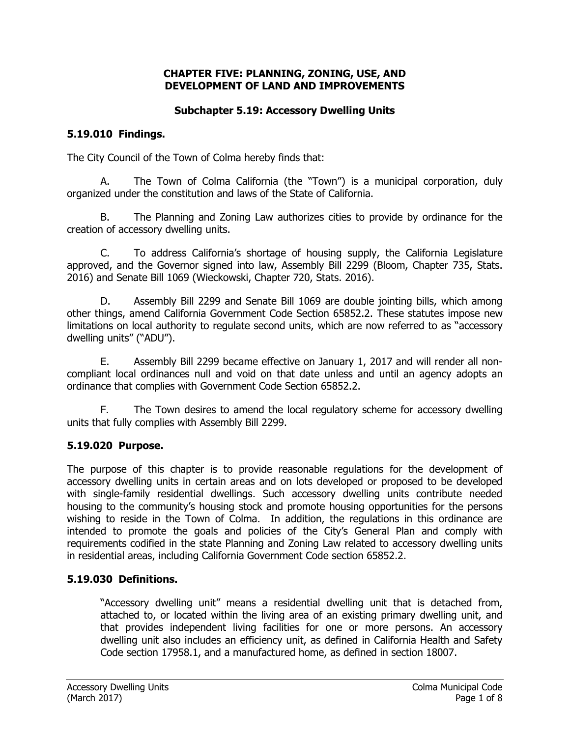#### **CHAPTER FIVE: PLANNING, ZONING, USE, AND DEVELOPMENT OF LAND AND IMPROVEMENTS**

# **Subchapter 5.19: Accessory Dwelling Units**

# **5.19.010 Findings.**

The City Council of the Town of Colma hereby finds that:

A. The Town of Colma California (the "Town") is a municipal corporation, duly organized under the constitution and laws of the State of California.

B. The Planning and Zoning Law authorizes cities to provide by ordinance for the creation of accessory dwelling units.

C. To address California's shortage of housing supply, the California Legislature approved, and the Governor signed into law, Assembly Bill 2299 (Bloom, Chapter 735, Stats. 2016) and Senate Bill 1069 (Wieckowski, Chapter 720, Stats. 2016).

D. Assembly Bill 2299 and Senate Bill 1069 are double jointing bills, which among other things, amend California Government Code Section 65852.2. These statutes impose new limitations on local authority to regulate second units, which are now referred to as "accessory dwelling units" ("ADU").

E. Assembly Bill 2299 became effective on January 1, 2017 and will render all noncompliant local ordinances null and void on that date unless and until an agency adopts an ordinance that complies with Government Code Section 65852.2.

F. The Town desires to amend the local regulatory scheme for accessory dwelling units that fully complies with Assembly Bill 2299.

# **5.19.020 Purpose.**

The purpose of this chapter is to provide reasonable regulations for the development of accessory dwelling units in certain areas and on lots developed or proposed to be developed with single-family residential dwellings. Such accessory dwelling units contribute needed housing to the community's housing stock and promote housing opportunities for the persons wishing to reside in the Town of Colma. In addition, the regulations in this ordinance are intended to promote the goals and policies of the City's General Plan and comply with requirements codified in the state Planning and Zoning Law related to accessory dwelling units in residential areas, including California Government Code section 65852.2.

# **5.19.030 Definitions.**

"Accessory dwelling unit" means a residential dwelling unit that is detached from, attached to, or located within the living area of an existing primary dwelling unit, and that provides independent living facilities for one or more persons. An accessory dwelling unit also includes an efficiency unit, as defined in California Health and Safety Code section 17958.1, and a manufactured home, as defined in section 18007.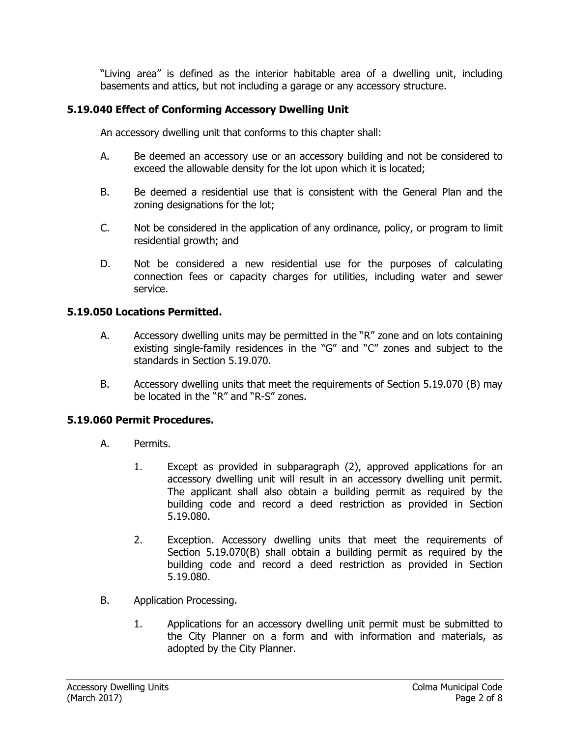"Living area" is defined as the interior habitable area of a dwelling unit, including basements and attics, but not including a garage or any accessory structure.

# **5.19.040 Effect of Conforming Accessory Dwelling Unit**

An accessory dwelling unit that conforms to this chapter shall:

- A. Be deemed an accessory use or an accessory building and not be considered to exceed the allowable density for the lot upon which it is located;
- B. Be deemed a residential use that is consistent with the General Plan and the zoning designations for the lot;
- C. Not be considered in the application of any ordinance, policy, or program to limit residential growth; and
- D. Not be considered a new residential use for the purposes of calculating connection fees or capacity charges for utilities, including water and sewer service.

## **5.19.050 Locations Permitted.**

- A. Accessory dwelling units may be permitted in the "R" zone and on lots containing existing single-family residences in the "G" and "C" zones and subject to the standards in Section 5.19.070.
- B. Accessory dwelling units that meet the requirements of Section 5.19.070 (B) may be located in the "R" and "R-S" zones.

## **5.19.060 Permit Procedures.**

- A. Permits.
	- 1. Except as provided in subparagraph (2), approved applications for an accessory dwelling unit will result in an accessory dwelling unit permit. The applicant shall also obtain a building permit as required by the building code and record a deed restriction as provided in Section 5.19.080.
	- 2. Exception. Accessory dwelling units that meet the requirements of Section 5.19.070(B) shall obtain a building permit as required by the building code and record a deed restriction as provided in Section 5.19.080.
- B. Application Processing.
	- 1. Applications for an accessory dwelling unit permit must be submitted to the City Planner on a form and with information and materials, as adopted by the City Planner.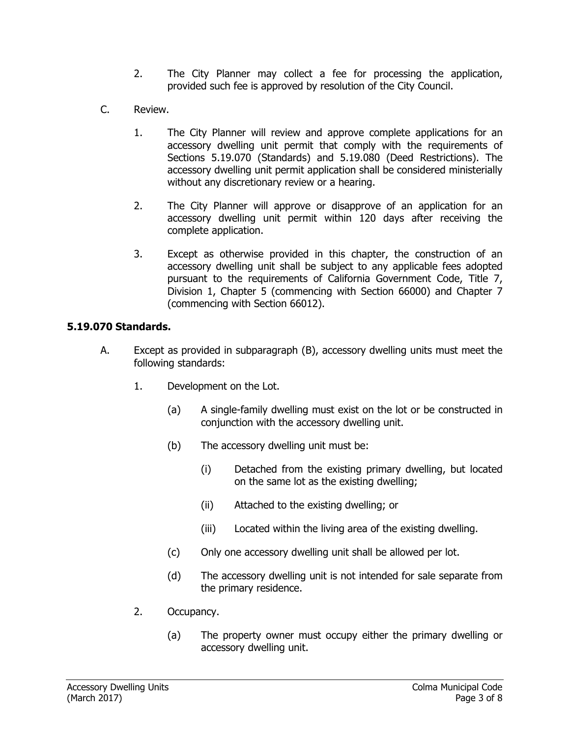- 2. The City Planner may collect a fee for processing the application, provided such fee is approved by resolution of the City Council.
- C. Review.
	- 1. The City Planner will review and approve complete applications for an accessory dwelling unit permit that comply with the requirements of Sections 5.19.070 (Standards) and 5.19.080 (Deed Restrictions). The accessory dwelling unit permit application shall be considered ministerially without any discretionary review or a hearing.
	- 2. The City Planner will approve or disapprove of an application for an accessory dwelling unit permit within 120 days after receiving the complete application.
	- 3. Except as otherwise provided in this chapter, the construction of an accessory dwelling unit shall be subject to any applicable fees adopted pursuant to the requirements of California Government Code, Title 7, Division 1, Chapter 5 (commencing with Section 66000) and Chapter 7 (commencing with Section 66012).

## **5.19.070 Standards.**

- A. Except as provided in subparagraph (B), accessory dwelling units must meet the following standards:
	- 1. Development on the Lot.
		- (a) A single-family dwelling must exist on the lot or be constructed in conjunction with the accessory dwelling unit.
		- (b) The accessory dwelling unit must be:
			- (i) Detached from the existing primary dwelling, but located on the same lot as the existing dwelling;
			- (ii) Attached to the existing dwelling; or
			- (iii) Located within the living area of the existing dwelling.
		- (c) Only one accessory dwelling unit shall be allowed per lot.
		- (d) The accessory dwelling unit is not intended for sale separate from the primary residence.
	- 2. Occupancy.
		- (a) The property owner must occupy either the primary dwelling or accessory dwelling unit.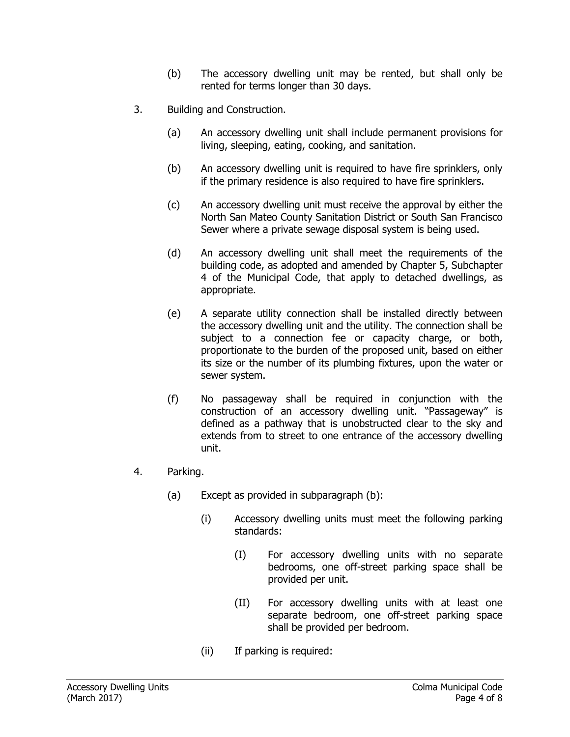- (b) The accessory dwelling unit may be rented, but shall only be rented for terms longer than 30 days.
- 3. Building and Construction.
	- (a) An accessory dwelling unit shall include permanent provisions for living, sleeping, eating, cooking, and sanitation.
	- (b) An accessory dwelling unit is required to have fire sprinklers, only if the primary residence is also required to have fire sprinklers.
	- (c) An accessory dwelling unit must receive the approval by either the North San Mateo County Sanitation District or South San Francisco Sewer where a private sewage disposal system is being used.
	- (d) An accessory dwelling unit shall meet the requirements of the building code, as adopted and amended by Chapter 5, Subchapter 4 of the Municipal Code, that apply to detached dwellings, as appropriate.
	- (e) A separate utility connection shall be installed directly between the accessory dwelling unit and the utility. The connection shall be subject to a connection fee or capacity charge, or both, proportionate to the burden of the proposed unit, based on either its size or the number of its plumbing fixtures, upon the water or sewer system.
	- (f) No passageway shall be required in conjunction with the construction of an accessory dwelling unit. "Passageway" is defined as a pathway that is unobstructed clear to the sky and extends from to street to one entrance of the accessory dwelling unit.
- 4. Parking.
	- (a) Except as provided in subparagraph (b):
		- (i) Accessory dwelling units must meet the following parking standards:
			- (I) For accessory dwelling units with no separate bedrooms, one off-street parking space shall be provided per unit.
			- (II) For accessory dwelling units with at least one separate bedroom, one off-street parking space shall be provided per bedroom.
		- (ii) If parking is required: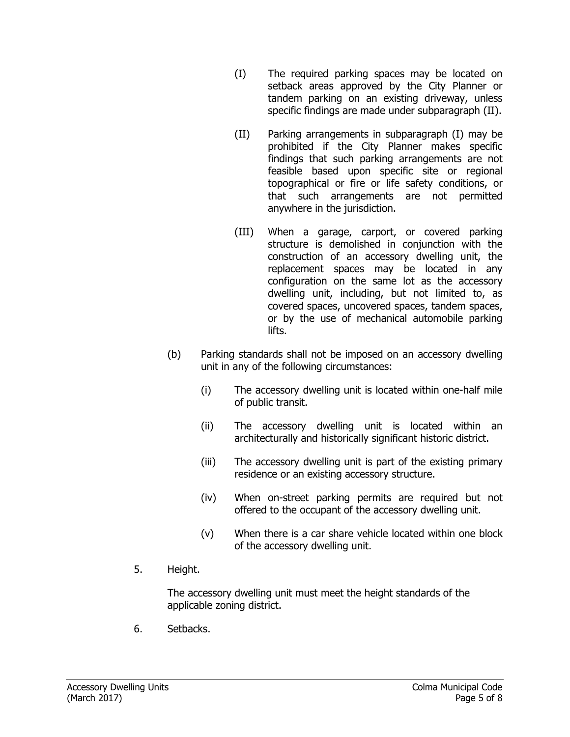- (I) The required parking spaces may be located on setback areas approved by the City Planner or tandem parking on an existing driveway, unless specific findings are made under subparagraph (II).
- (II) Parking arrangements in subparagraph (I) may be prohibited if the City Planner makes specific findings that such parking arrangements are not feasible based upon specific site or regional topographical or fire or life safety conditions, or that such arrangements are not permitted anywhere in the jurisdiction.
- (III) When a garage, carport, or covered parking structure is demolished in conjunction with the construction of an accessory dwelling unit, the replacement spaces may be located in any configuration on the same lot as the accessory dwelling unit, including, but not limited to, as covered spaces, uncovered spaces, tandem spaces, or by the use of mechanical automobile parking lifts.
- (b) Parking standards shall not be imposed on an accessory dwelling unit in any of the following circumstances:
	- (i) The accessory dwelling unit is located within one-half mile of public transit.
	- (ii) The accessory dwelling unit is located within an architecturally and historically significant historic district.
	- (iii) The accessory dwelling unit is part of the existing primary residence or an existing accessory structure.
	- (iv) When on-street parking permits are required but not offered to the occupant of the accessory dwelling unit.
	- (v) When there is a car share vehicle located within one block of the accessory dwelling unit.
- 5. Height.

The accessory dwelling unit must meet the height standards of the applicable zoning district.

6. Setbacks.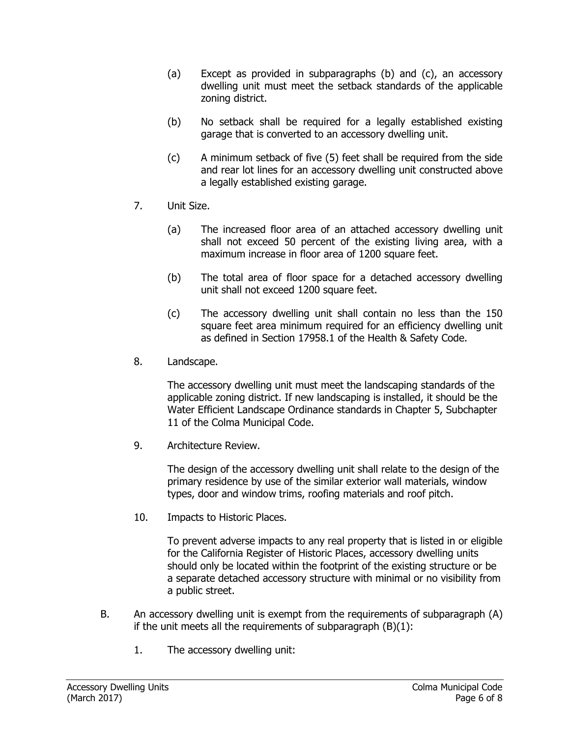- (a) Except as provided in subparagraphs (b) and (c), an accessory dwelling unit must meet the setback standards of the applicable zoning district.
- (b) No setback shall be required for a legally established existing garage that is converted to an accessory dwelling unit.
- (c) A minimum setback of five (5) feet shall be required from the side and rear lot lines for an accessory dwelling unit constructed above a legally established existing garage.
- 7. Unit Size.
	- (a) The increased floor area of an attached accessory dwelling unit shall not exceed 50 percent of the existing living area, with a maximum increase in floor area of 1200 square feet.
	- (b) The total area of floor space for a detached accessory dwelling unit shall not exceed 1200 square feet.
	- (c) The accessory dwelling unit shall contain no less than the 150 square feet area minimum required for an efficiency dwelling unit as defined in Section 17958.1 of the Health & Safety Code.
- 8. Landscape.

The accessory dwelling unit must meet the landscaping standards of the applicable zoning district. If new landscaping is installed, it should be the Water Efficient Landscape Ordinance standards in Chapter 5, Subchapter 11 of the Colma Municipal Code.

9. Architecture Review.

The design of the accessory dwelling unit shall relate to the design of the primary residence by use of the similar exterior wall materials, window types, door and window trims, roofing materials and roof pitch.

10. Impacts to Historic Places.

To prevent adverse impacts to any real property that is listed in or eligible for the California Register of Historic Places, accessory dwelling units should only be located within the footprint of the existing structure or be a separate detached accessory structure with minimal or no visibility from a public street.

- B. An accessory dwelling unit is exempt from the requirements of subparagraph (A) if the unit meets all the requirements of subparagraph  $(B)(1)$ :
	- 1. The accessory dwelling unit: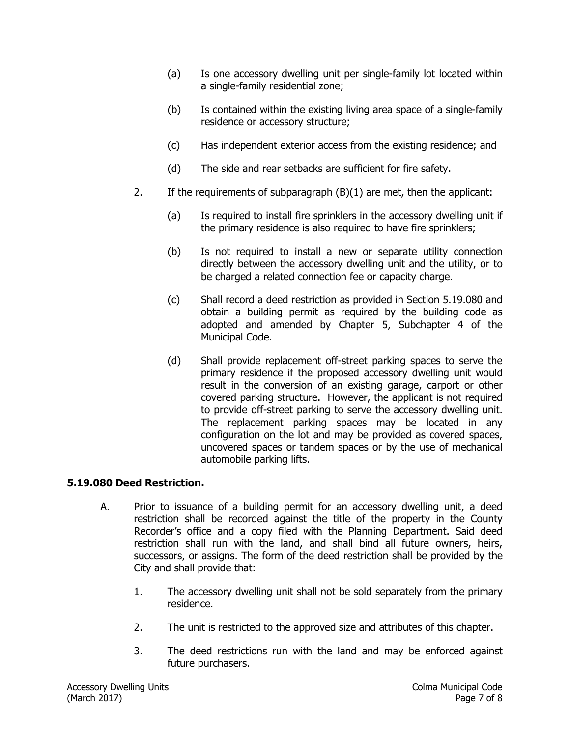- (a) Is one accessory dwelling unit per single-family lot located within a single-family residential zone;
- (b) Is contained within the existing living area space of a single-family residence or accessory structure;
- (c) Has independent exterior access from the existing residence; and
- (d) The side and rear setbacks are sufficient for fire safety.
- 2. If the requirements of subparagraph (B)(1) are met, then the applicant:
	- (a) Is required to install fire sprinklers in the accessory dwelling unit if the primary residence is also required to have fire sprinklers;
	- (b) Is not required to install a new or separate utility connection directly between the accessory dwelling unit and the utility, or to be charged a related connection fee or capacity charge.
	- (c) Shall record a deed restriction as provided in Section 5.19.080 and obtain a building permit as required by the building code as adopted and amended by Chapter 5, Subchapter 4 of the Municipal Code.
	- (d) Shall provide replacement off-street parking spaces to serve the primary residence if the proposed accessory dwelling unit would result in the conversion of an existing garage, carport or other covered parking structure. However, the applicant is not required to provide off-street parking to serve the accessory dwelling unit. The replacement parking spaces may be located in any configuration on the lot and may be provided as covered spaces, uncovered spaces or tandem spaces or by the use of mechanical automobile parking lifts.

## **5.19.080 Deed Restriction.**

- A. Prior to issuance of a building permit for an accessory dwelling unit, a deed restriction shall be recorded against the title of the property in the County Recorder's office and a copy filed with the Planning Department. Said deed restriction shall run with the land, and shall bind all future owners, heirs, successors, or assigns. The form of the deed restriction shall be provided by the City and shall provide that:
	- 1. The accessory dwelling unit shall not be sold separately from the primary residence.
	- 2. The unit is restricted to the approved size and attributes of this chapter.
	- 3. The deed restrictions run with the land and may be enforced against future purchasers.